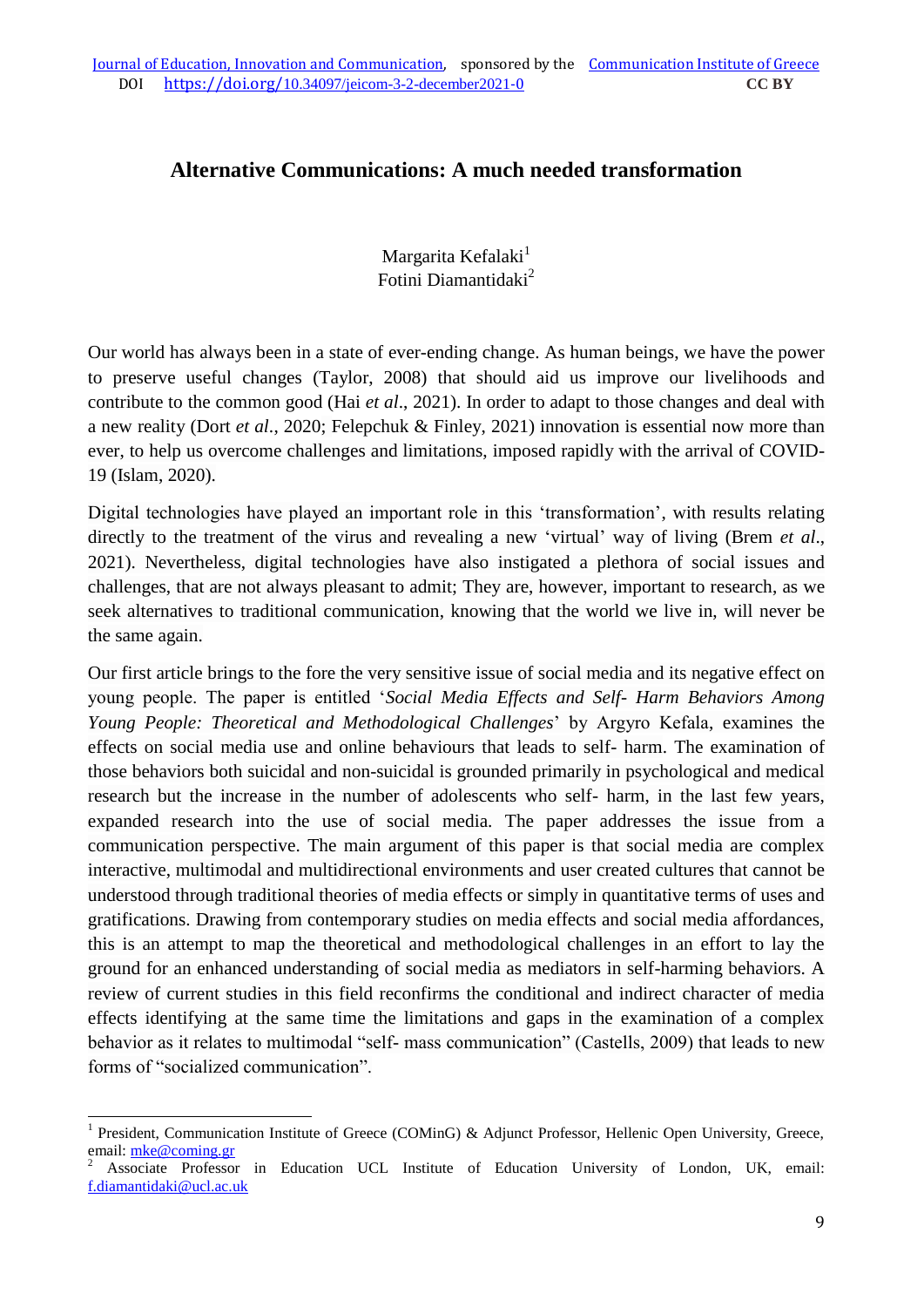## **Alternative Communications: A much needed transformation**

Margarita Kefalaki<sup>1</sup> Fotini Diamantidaki<sup>2</sup>

Our world has always been in a state of ever-ending change. As human beings, we have the power to preserve useful changes (Taylor, 2008) that should aid us improve our livelihoods and contribute to the common good (Hai *et al*., 2021). In order to adapt to those changes and deal with a new reality (Dort *et al*., 2020; Felepchuk & Finley, 2021) innovation is essential now more than ever, to help us overcome challenges and limitations, imposed rapidly with the arrival of COVID-19 (Islam, 2020).

Digital technologies have played an important role in this 'transformation', with results relating directly to the treatment of the virus and revealing a new 'virtual' way of living (Brem *et al*., 2021). Nevertheless, digital technologies have also instigated a plethora of social issues and challenges, that are not always pleasant to admit; They are, however, important to research, as we seek alternatives to traditional communication, knowing that the world we live in, will never be the same again.

Our first article brings to the fore the very sensitive issue of social media and its negative effect on young people. The paper is entitled '*Social Media Effects and Self- Harm Behaviors Among Young People: Theoretical and Methodological Challenges*' by Argyro Kefala, examines the effects on social media use and online behaviours that leads to self- harm. The examination of those behaviors both suicidal and non-suicidal is grounded primarily in psychological and medical research but the increase in the number of adolescents who self- harm, in the last few years, expanded research into the use of social media. The paper addresses the issue from a communication perspective. The main argument of this paper is that social media are complex interactive, multimodal and multidirectional environments and user created cultures that cannot be understood through traditional theories of media effects or simply in quantitative terms of uses and gratifications. Drawing from contemporary studies on media effects and social media affordances, this is an attempt to map the theoretical and methodological challenges in an effort to lay the ground for an enhanced understanding of social media as mediators in self-harming behaviors. A review of current studies in this field reconfirms the conditional and indirect character of media effects identifying at the same time the limitations and gaps in the examination of a complex behavior as it relates to multimodal "self- mass communication" (Castells, 2009) that leads to new forms of "socialized communication".

<u>.</u>

<sup>&</sup>lt;sup>1</sup> President, Communication Institute of Greece (COMinG) & Adjunct Professor, Hellenic Open University, Greece, email: [mke@coming.gr](mailto:mke@coming.gr)

<sup>2</sup> Associate Professor in Education UCL Institute of Education University of London, UK, email: [f.diamantidaki@ucl.ac.uk](mailto:f.diamantidaki@ucl.ac.uk)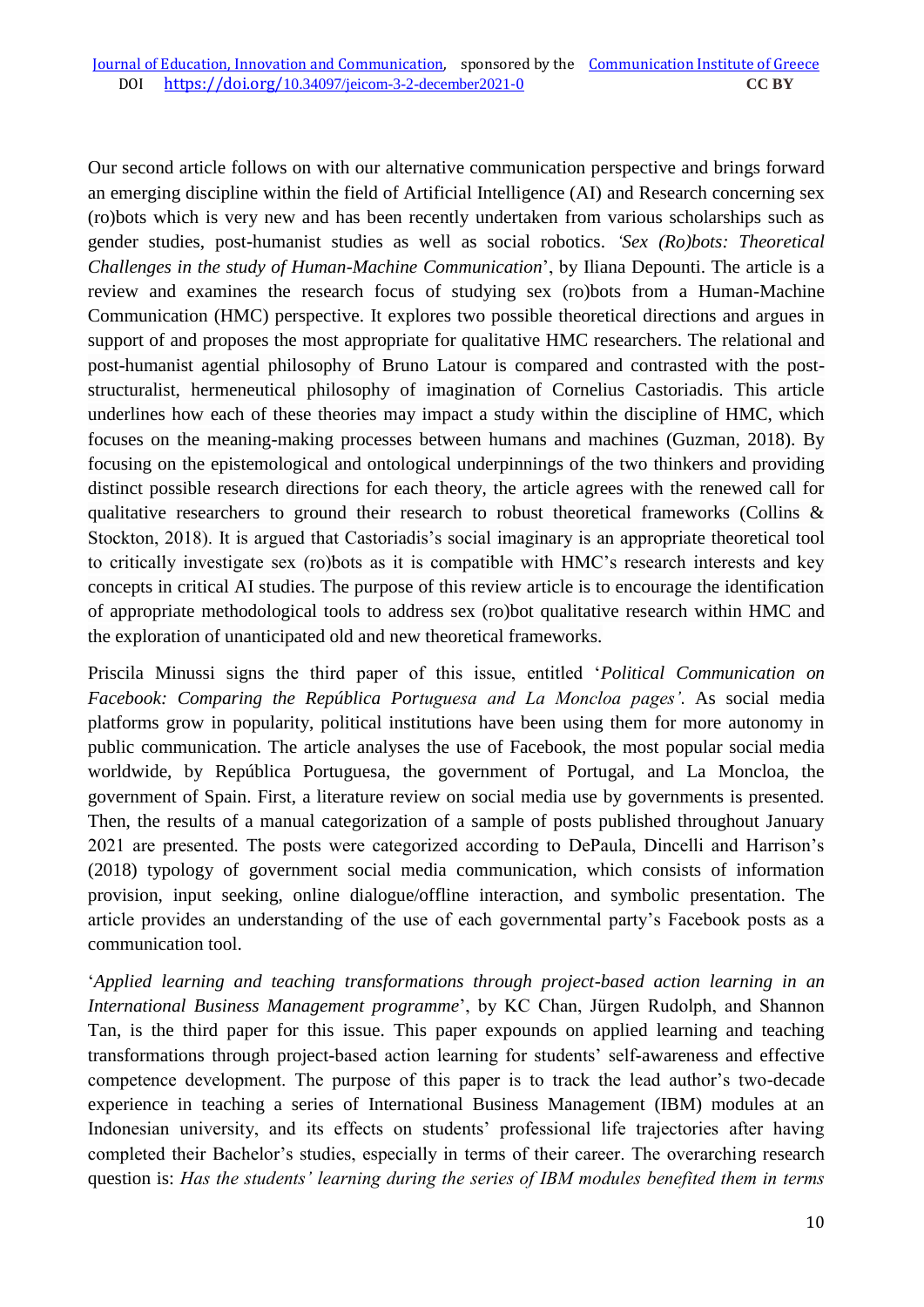Our second article follows on with our alternative communication perspective and brings forward an emerging discipline within the field of Artificial Intelligence (AI) and Research concerning sex (ro)bots which is very new and has been recently undertaken from various scholarships such as gender studies, post-humanist studies as well as social robotics. *'Sex (Ro)bots: Theoretical Challenges in the study of Human-Machine Communication*', by Iliana Depounti. The article is a review and examines the research focus of studying sex (ro)bots from a Human-Machine Communication (HMC) perspective. It explores two possible theoretical directions and argues in support of and proposes the most appropriate for qualitative HMC researchers. The relational and post-humanist agential philosophy of Bruno Latour is compared and contrasted with the poststructuralist, hermeneutical philosophy of imagination of Cornelius Castoriadis. This article underlines how each of these theories may impact a study within the discipline of HMC, which focuses on the meaning-making processes between humans and machines (Guzman, 2018). By focusing on the epistemological and ontological underpinnings of the two thinkers and providing distinct possible research directions for each theory, the article agrees with the renewed call for qualitative researchers to ground their research to robust theoretical frameworks (Collins & Stockton, 2018). It is argued that Castoriadis's social imaginary is an appropriate theoretical tool to critically investigate sex (ro)bots as it is compatible with HMC's research interests and key concepts in critical AI studies. The purpose of this review article is to encourage the identification of appropriate methodological tools to address sex (ro)bot qualitative research within HMC and the exploration of unanticipated old and new theoretical frameworks.

Priscila Minussi signs the third paper of this issue, entitled '*Political Communication on Facebook: Comparing the República Portuguesa and La Moncloa pages'*. As social media platforms grow in popularity, political institutions have been using them for more autonomy in public communication. The article analyses the use of Facebook, the most popular social media worldwide, by República Portuguesa, the government of Portugal, and La Moncloa, the government of Spain. First, a literature review on social media use by governments is presented. Then, the results of a manual categorization of a sample of posts published throughout January 2021 are presented. The posts were categorized according to DePaula, Dincelli and Harrison's (2018) typology of government social media communication, which consists of information provision, input seeking, online dialogue/offline interaction, and symbolic presentation. The article provides an understanding of the use of each governmental party's Facebook posts as a communication tool.

'*Applied learning and teaching transformations through project-based action learning in an International Business Management programme*', by KC Chan, Jürgen Rudolph, and Shannon Tan, is the third paper for this issue. This paper expounds on applied learning and teaching transformations through project-based action learning for students' self-awareness and effective competence development. The purpose of this paper is to track the lead author's two-decade experience in teaching a series of International Business Management (IBM) modules at an Indonesian university, and its effects on students' professional life trajectories after having completed their Bachelor's studies, especially in terms of their career. The overarching research question is: *Has the students' learning during the series of IBM modules benefited them in terms*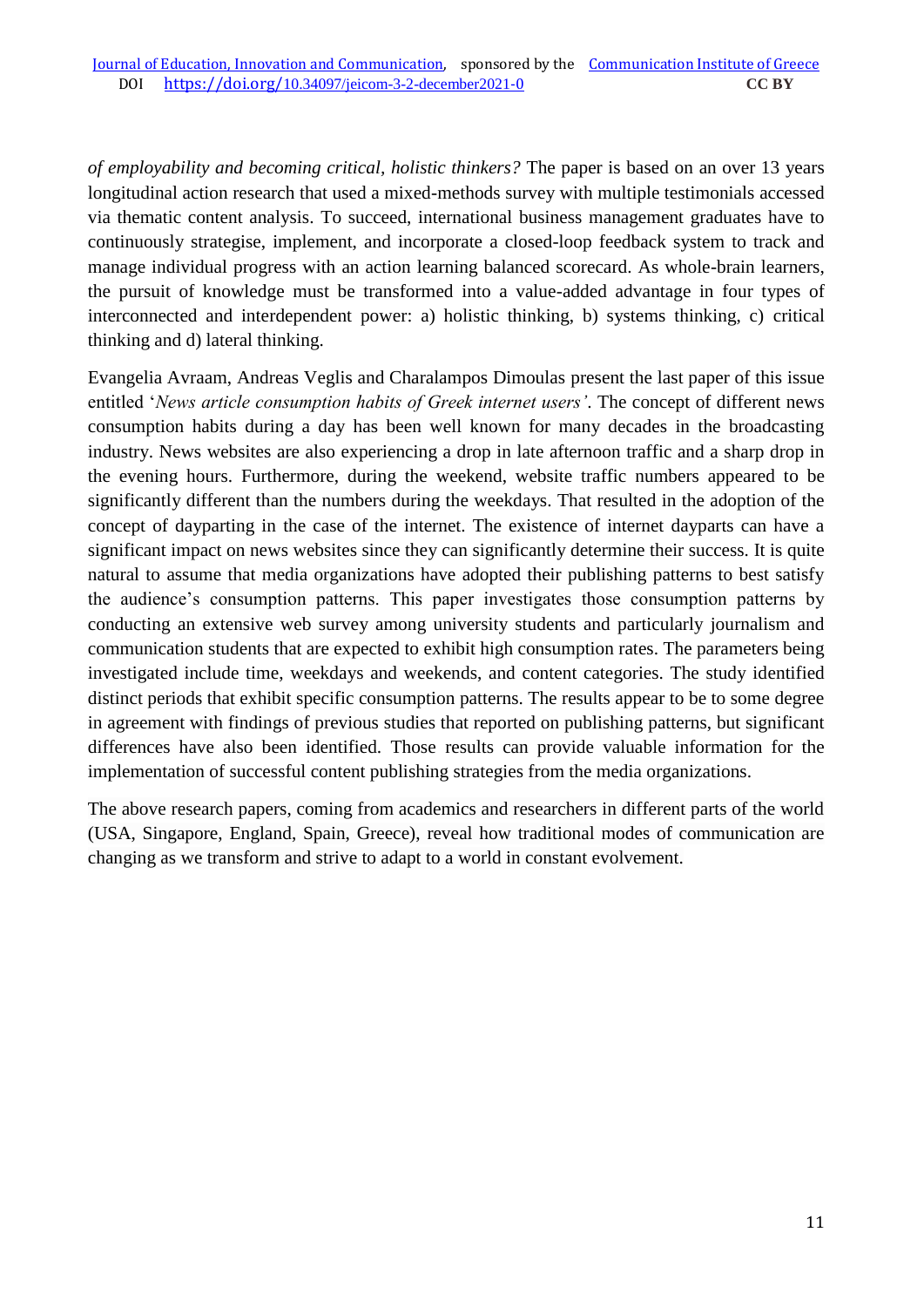*of employability and becoming critical, holistic thinkers?* The paper is based on an over 13 years longitudinal action research that used a mixed-methods survey with multiple testimonials accessed via thematic content analysis. To succeed, international business management graduates have to continuously strategise, implement, and incorporate a closed-loop feedback system to track and manage individual progress with an action learning balanced scorecard. As whole-brain learners, the pursuit of knowledge must be transformed into a value-added advantage in four types of interconnected and interdependent power: a) holistic thinking, b) systems thinking, c) critical thinking and d) lateral thinking.

Evangelia Avraam, Andreas Veglis and Charalampos Dimoulas present the last paper of this issue entitled '*News article consumption habits of Greek internet users'*. The concept of different news consumption habits during a day has been well known for many decades in the broadcasting industry. News websites are also experiencing a drop in late afternoon traffic and a sharp drop in the evening hours. Furthermore, during the weekend, website traffic numbers appeared to be significantly different than the numbers during the weekdays. That resulted in the adoption of the concept of dayparting in the case of the internet. The existence of internet dayparts can have a significant impact on news websites since they can significantly determine their success. It is quite natural to assume that media organizations have adopted their publishing patterns to best satisfy the audience's consumption patterns. This paper investigates those consumption patterns by conducting an extensive web survey among university students and particularly journalism and communication students that are expected to exhibit high consumption rates. The parameters being investigated include time, weekdays and weekends, and content categories. The study identified distinct periods that exhibit specific consumption patterns. The results appear to be to some degree in agreement with findings of previous studies that reported on publishing patterns, but significant differences have also been identified. Those results can provide valuable information for the implementation of successful content publishing strategies from the media organizations.

The above research papers, coming from academics and researchers in different parts of the world (USA, Singapore, England, Spain, Greece), reveal how traditional modes of communication are changing as we transform and strive to adapt to a world in constant evolvement.